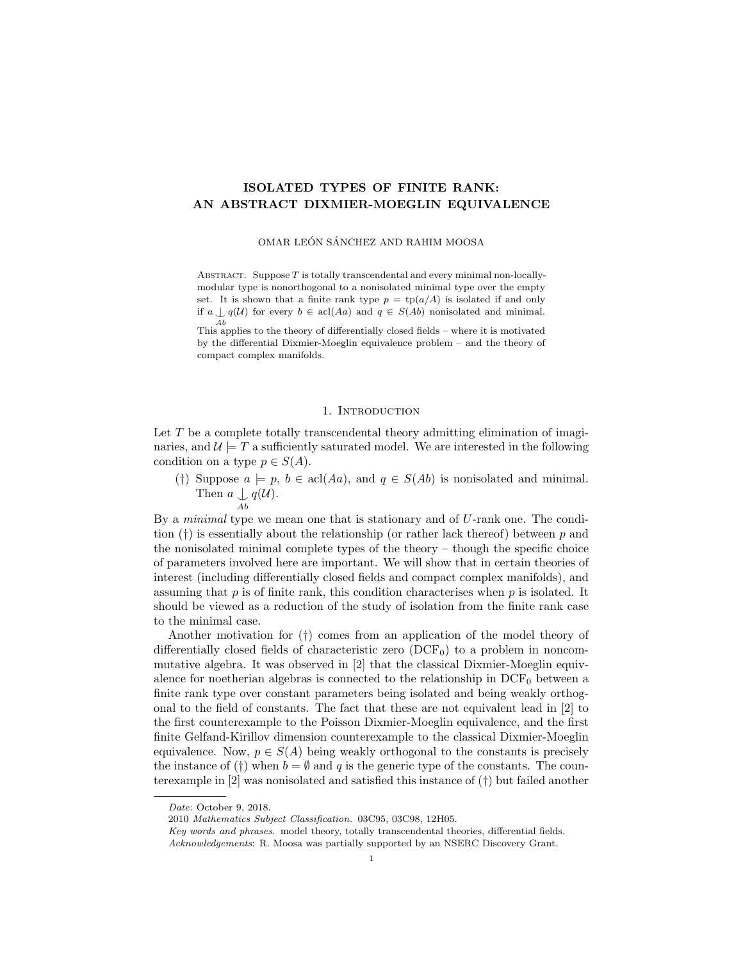# ISOLATED TYPES OF FINITE RANK: AN ABSTRACT DIXMIER-MOEGLIN EQUIVALENCE

OMAR LEÓN SÁNCHEZ AND RAHIM MOOSA

ABSTRACT. Suppose  $T$  is totally transcendental and every minimal non-locallymodular type is nonorthogonal to a nonisolated minimal type over the empty set. It is shown that a finite rank type  $p = \text{tp}(a/A)$  is isolated if and only if  $a \nightharpoonup q(\mathcal{U})$  for every  $b \in \text{acl}(Aa)$  and  $q \in S(Ab)$  nonisolated and minimal.

 $A_b$ <br>This applies to the theory of differentially closed fields – where it is motivated by the differential Dixmier-Moeglin equivalence problem – and the theory of compact complex manifolds.

## 1. INTRODUCTION

Let  $T$  be a complete totally transcendental theory admitting elimination of imaginaries, and  $\mathcal{U} \models T$  a sufficiently saturated model. We are interested in the following condition on a type  $p \in S(A)$ .

(†) Suppose  $a \models p, b \in \text{acl}(Aa)$ , and  $q \in S(Ab)$  is nonisolated and minimal. Then  $a \nightharpoonup q(\mathcal{U})$ .

By a *minimal* type we mean one that is stationary and of  $U$ -rank one. The condition  $(\dagger)$  is essentially about the relationship (or rather lack thereof) between p and the nonisolated minimal complete types of the theory – though the specific choice of parameters involved here are important. We will show that in certain theories of interest (including differentially closed fields and compact complex manifolds), and assuming that  $p$  is of finite rank, this condition characterises when  $p$  is isolated. It should be viewed as a reduction of the study of isolation from the finite rank case to the minimal case.

Another motivation for (†) comes from an application of the model theory of differentially closed fields of characteristic zero  $(DCF<sub>0</sub>)$  to a problem in noncommutative algebra. It was observed in [2] that the classical Dixmier-Moeglin equivalence for noetherian algebras is connected to the relationship in  $DCF_0$  between a finite rank type over constant parameters being isolated and being weakly orthogonal to the field of constants. The fact that these are not equivalent lead in [2] to the first counterexample to the Poisson Dixmier-Moeglin equivalence, and the first finite Gelfand-Kirillov dimension counterexample to the classical Dixmier-Moeglin equivalence. Now,  $p \in S(A)$  being weakly orthogonal to the constants is precisely the instance of (†) when  $b = \emptyset$  and q is the generic type of the constants. The counterexample in [2] was nonisolated and satisfied this instance of (†) but failed another

Ab

Date: October 9, 2018.

<sup>2010</sup> Mathematics Subject Classification. 03C95, 03C98, 12H05.

Key words and phrases. model theory, totally transcendental theories, differential fields.

Acknowledgements: R. Moosa was partially supported by an NSERC Discovery Grant.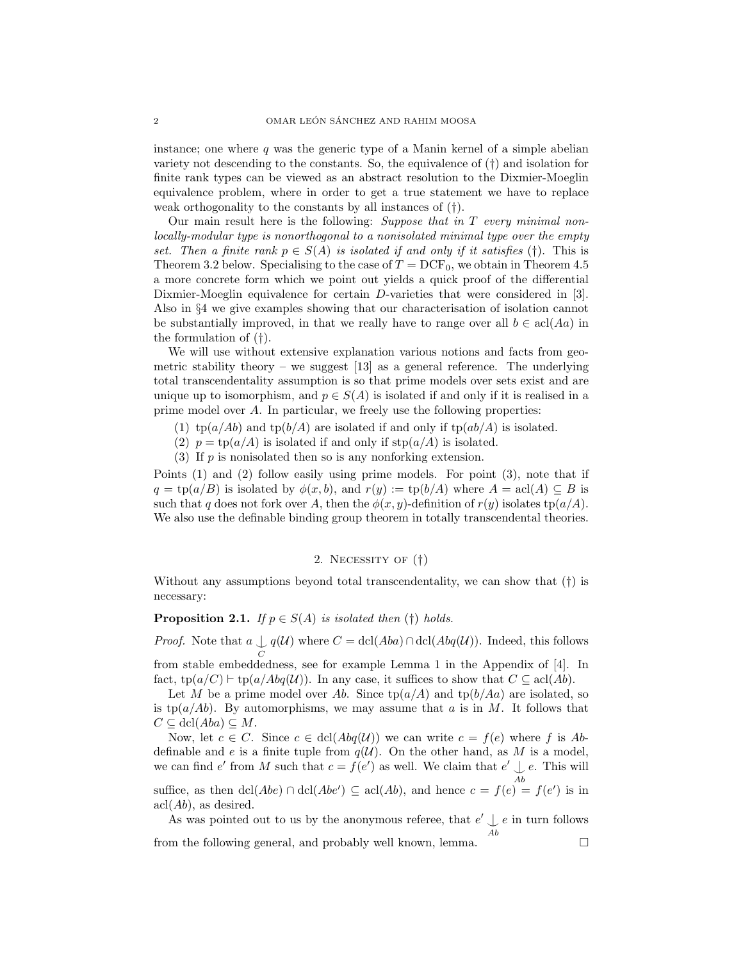instance; one where  $q$  was the generic type of a Manin kernel of a simple abelian variety not descending to the constants. So, the equivalence of (†) and isolation for finite rank types can be viewed as an abstract resolution to the Dixmier-Moeglin equivalence problem, where in order to get a true statement we have to replace weak orthogonality to the constants by all instances of (†).

Our main result here is the following: Suppose that in  $T$  every minimal nonlocally-modular type is nonorthogonal to a nonisolated minimal type over the empty set. Then a finite rank  $p \in S(A)$  is isolated if and only if it satisfies (†). This is Theorem 3.2 below. Specialising to the case of  $T = DCF_0$ , we obtain in Theorem 4.5 a more concrete form which we point out yields a quick proof of the differential Dixmier-Moeglin equivalence for certain D-varieties that were considered in [3]. Also in §4 we give examples showing that our characterisation of isolation cannot be substantially improved, in that we really have to range over all  $b \in \text{acl}(Aa)$  in the formulation of (†).

We will use without extensive explanation various notions and facts from geometric stability theory – we suggest  $[13]$  as a general reference. The underlying total transcendentality assumption is so that prime models over sets exist and are unique up to isomorphism, and  $p \in S(A)$  is isolated if and only if it is realised in a prime model over A. In particular, we freely use the following properties:

- (1) tp( $a/Ab$ ) and tp( $b/A$ ) are isolated if and only if tp( $ab/A$ ) is isolated.
- (2)  $p = \text{tp}(a/A)$  is isolated if and only if  $\text{stp}(a/A)$  is isolated.
- (3) If  $p$  is nonisolated then so is any nonforking extension.

Points (1) and (2) follow easily using prime models. For point (3), note that if  $q = \text{tp}(a/B)$  is isolated by  $\phi(x, b)$ , and  $r(y) := \text{tp}(b/A)$  where  $A = \text{acl}(A) \subseteq B$  is such that q does not fork over A, then the  $\phi(x, y)$ -definition of  $r(y)$  isolates tp( $a/A$ ). We also use the definable binding group theorem in totally transcendental theories.

#### 2. Necessity of (†)

Without any assumptions beyond total transcendentality, we can show that (†) is necessary:

**Proposition 2.1.** If  $p \in S(A)$  is isolated then (†) holds.

*Proof.* Note that  $a \bigcup_{C}$  $q(\mathcal{U})$  where  $C = \text{dcl}(Aba) \cap \text{dcl}(Abq(\mathcal{U}))$ . Indeed, this follows from stable embeddedness, see for example Lemma 1 in the Appendix of [4]. In

fact,  $tp(a/C) \vdash tp(a/Abq(\mathcal{U}))$ . In any case, it suffices to show that  $C \subseteq \text{acl}(Ab)$ .

Let M be a prime model over Ab. Since  $tp(a/A)$  and  $tp(b/Aa)$  are isolated, so is tp( $a/Ab$ ). By automorphisms, we may assume that a is in M. It follows that  $C \subseteq \text{dcl}(Aba) \subseteq M$ .

Now, let  $c \in C$ . Since  $c \in \text{dcl}(Abq(\mathcal{U}))$  we can write  $c = f(e)$  where f is Abdefinable and e is a finite tuple from  $q(\mathcal{U})$ . On the other hand, as M is a model, we can find  $e'$  from M such that  $c = f(e')$  as well. We claim that  $e' \downarrow e$ . This will suffice, as then  $dcl(Abe) \cap dcl(Abe') \subseteq \text{acl}(Ab)$ , and hence  $c = f(e) = f(e')$  is in

 $\operatorname{acl}(Ab)$ , as desired.

As was pointed out to us by the anonymous referee, that  $e' \bigcup e$  in turn follows Ab from the following general, and probably well known, lemma.  $\Box$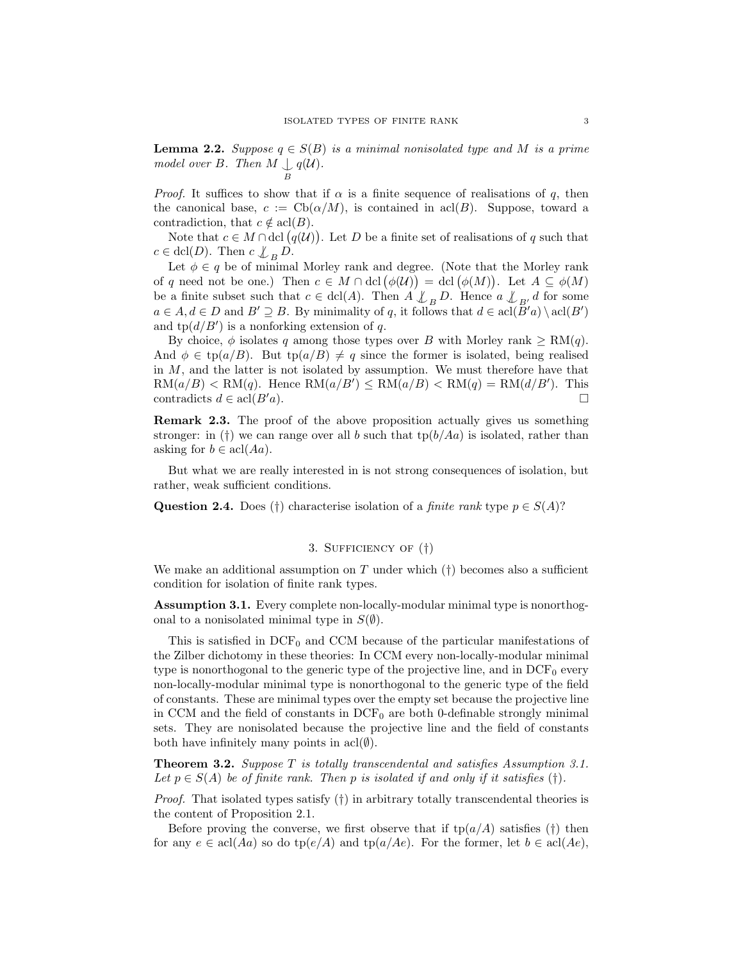**Lemma 2.2.** Suppose  $q \in S(B)$  is a minimal nonisolated type and M is a prime model over B. Then  $M \cup q(\mathcal{U})$ . B

*Proof.* It suffices to show that if  $\alpha$  is a finite sequence of realisations of q, then the canonical base,  $c := \text{Cb}(\alpha/M)$ , is contained in acl(B). Suppose, toward a contradiction, that  $c \notin \operatorname{acl}(B)$ .

Note that  $c \in M \cap \text{dcl}(q(\mathcal{U}))$ . Let D be a finite set of realisations of q such that  $c \in \text{dcl}(D)$ . Then  $c \not\downarrow_B D$ .

Let  $\phi \in q$  be of minimal Morley rank and degree. (Note that the Morley rank of q need not be one.) Then  $c \in M \cap \text{dcl}(\phi(\mathcal{U})) = \text{dcl}(\phi(M)).$  Let  $A \subseteq \phi(M)$ be a finite subset such that  $c \in \text{dcl}(A)$ . Then  $A \not\perp_B D$ . Hence  $a \not\perp_{B'} d$  for some  $a \in A, d \in D$  and  $B' \supseteq B$ . By minimality of q, it follows that  $d \in \text{acl}(\overline{B}'a) \setminus \text{acl}(B')$ and  $tp(d/B')$  is a nonforking extension of q.

By choice,  $\phi$  isolates q among those types over B with Morley rank  $\geq \text{RM}(q)$ . And  $\phi \in \text{tp}(a/B)$ . But  $\text{tp}(a/B) \neq q$  since the former is isolated, being realised in M, and the latter is not isolated by assumption. We must therefore have that  $RM(a/B) < RM(q)$ . Hence  $RM(a/B') \le RM(a/B) < RM(q) = RM(d/B')$ . This contradicts  $d \in \text{acl}(B'a)$ .

Remark 2.3. The proof of the above proposition actually gives us something stronger: in (†) we can range over all b such that  $tp(b/Aa)$  is isolated, rather than asking for  $b \in \text{acl}(Aa)$ .

But what we are really interested in is not strong consequences of isolation, but rather, weak sufficient conditions.

Question 2.4. Does (†) characterise isolation of a *finite rank* type  $p \in S(A)$ ?

# 3. Sufficiency of (†)

We make an additional assumption on T under which  $(t)$  becomes also a sufficient condition for isolation of finite rank types.

Assumption 3.1. Every complete non-locally-modular minimal type is nonorthogonal to a nonisolated minimal type in  $S(\emptyset)$ .

This is satisfied in  $DCF_0$  and CCM because of the particular manifestations of the Zilber dichotomy in these theories: In CCM every non-locally-modular minimal type is nonorthogonal to the generic type of the projective line, and in  $DCF_0$  every non-locally-modular minimal type is nonorthogonal to the generic type of the field of constants. These are minimal types over the empty set because the projective line in CCM and the field of constants in  $DCF_0$  are both 0-definable strongly minimal sets. They are nonisolated because the projective line and the field of constants both have infinitely many points in  $\text{acl}(\emptyset)$ .

Theorem 3.2. Suppose T is totally transcendental and satisfies Assumption 3.1. Let  $p \in S(A)$  be of finite rank. Then p is isolated if and only if it satisfies (†).

*Proof.* That isolated types satisfy  $(†)$  in arbitrary totally transcendental theories is the content of Proposition 2.1.

Before proving the converse, we first observe that if  $tp(a/A)$  satisfies (†) then for any  $e \in \text{acl}(Aa)$  so do tp( $e/A$ ) and tp( $a/Ae$ ). For the former, let  $b \in \text{acl}(Ae)$ ,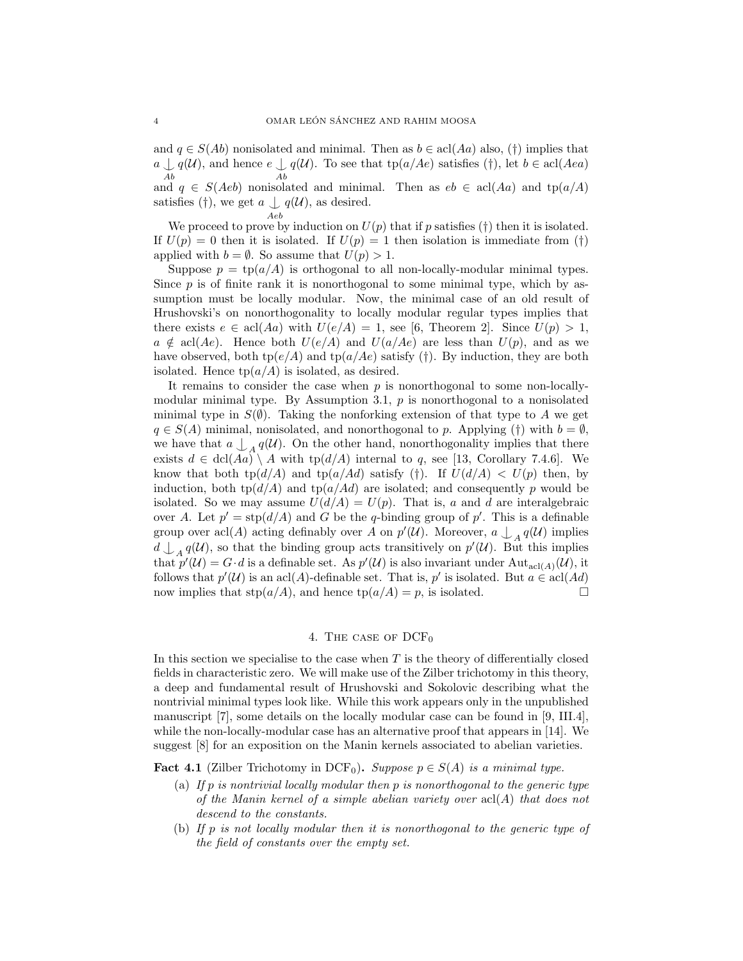and  $q \in S(Ab)$  nonisolated and minimal. Then as  $b \in \text{acl}(Aa)$  also, (†) implies that  $a \perp q(\mathcal{U})$ , and hence  $e \perp q(\mathcal{U})$ . To see that tp( $a/Ae$ ) satisfies (†), let  $b \in \text{acl}(Aea)$  $A_b$ <br>and  $q \in S(Aeb)$  nonisolated and minimal. Then as  $eb \in \text{acl}(Aa)$  and  $\text{tp}(a/A)$ Ab satisfies (†), we get  $a \perp q(\mathcal{U})$ , as desired.

We proceed to prove by induction on  $U(p)$  that if p satisfies (†) then it is isolated. If  $U(p) = 0$  then it is isolated. If  $U(p) = 1$  then isolation is immediate from (†) applied with  $b = \emptyset$ . So assume that  $U(p) > 1$ .

Aeb

Suppose  $p = \text{tp}(a/A)$  is orthogonal to all non-locally-modular minimal types. Since  $p$  is of finite rank it is nonorthogonal to some minimal type, which by assumption must be locally modular. Now, the minimal case of an old result of Hrushovski's on nonorthogonality to locally modular regular types implies that there exists  $e \in \text{acl}(Aa)$  with  $U(e/A) = 1$ , see [6, Theorem 2]. Since  $U(p) > 1$ ,  $a \notin \text{acl}(Ae)$ . Hence both  $U(e/A)$  and  $U(a/Ae)$  are less than  $U(p)$ , and as we have observed, both  $tp(e/A)$  and  $tp(a/Ae)$  satisfy (†). By induction, they are both isolated. Hence  $tp(a/A)$  is isolated, as desired.

It remains to consider the case when  $p$  is nonorthogonal to some non-locallymodular minimal type. By Assumption 3.1,  $p$  is nonorthogonal to a nonisolated minimal type in  $S(\emptyset)$ . Taking the nonforking extension of that type to A we get  $q \in S(A)$  minimal, nonisolated, and nonorthogonal to p. Applying (†) with  $b = \emptyset$ , we have that  $a \nightharpoonup_{A} q(\mathcal{U})$ . On the other hand, nonorthogonality implies that there exists  $d \in \text{dcl}(Aa) \setminus A$  with  $\text{tp}(d/A)$  internal to q, see [13, Corollary 7.4.6]. We know that both  $tp(d/A)$  and  $tp(a/Ad)$  satisfy (†). If  $U(d/A) < U(p)$  then, by induction, both  $tp(d/A)$  and  $tp(a/Ad)$  are isolated; and consequently p would be isolated. So we may assume  $U(d/A) = U(p)$ . That is, a and d are interalgebraic over A. Let  $p' = \text{stp}(d/A)$  and G be the q-binding group of p'. This is a definable group over  $\text{acl}(A)$  acting definably over A on  $p'(\mathcal{U})$ . Moreover,  $a \nightharpoonup_A q(\mathcal{U})$  implies  $d \n\bigcup_{A} q(\mathcal{U})$ , so that the binding group acts transitively on  $p'(\mathcal{U})$ . But this implies that  $p'(\mathcal{U}) = G \cdot d$  is a definable set. As  $p'(\mathcal{U})$  is also invariant under  $\text{Aut}_{\text{acl}(A)}(\mathcal{U})$ , it follows that  $p'(\mathcal{U})$  is an acl(A)-definable set. That is, p' is isolated. But  $a \in \text{acl}(Ad)$ now implies that  $\text{stp}(a/A)$ , and hence  $\text{tp}(a/A) = p$ , is isolated.

### 4. THE CASE OF DCF<sub>0</sub>

In this section we specialise to the case when  $T$  is the theory of differentially closed fields in characteristic zero. We will make use of the Zilber trichotomy in this theory, a deep and fundamental result of Hrushovski and Sokolovic describing what the nontrivial minimal types look like. While this work appears only in the unpublished manuscript [7], some details on the locally modular case can be found in [9, III.4], while the non-locally-modular case has an alternative proof that appears in [14]. We suggest [8] for an exposition on the Manin kernels associated to abelian varieties.

**Fact 4.1** (Zilber Trichotomy in DCF<sub>0</sub>). Suppose  $p \in S(A)$  is a minimal type.

- (a) If p is nontrivial locally modular then p is nonorthogonal to the generic type of the Manin kernel of a simple abelian variety over  $\operatorname{acl}(A)$  that does not descend to the constants.
- (b) If p is not locally modular then it is nonorthogonal to the generic type of the field of constants over the empty set.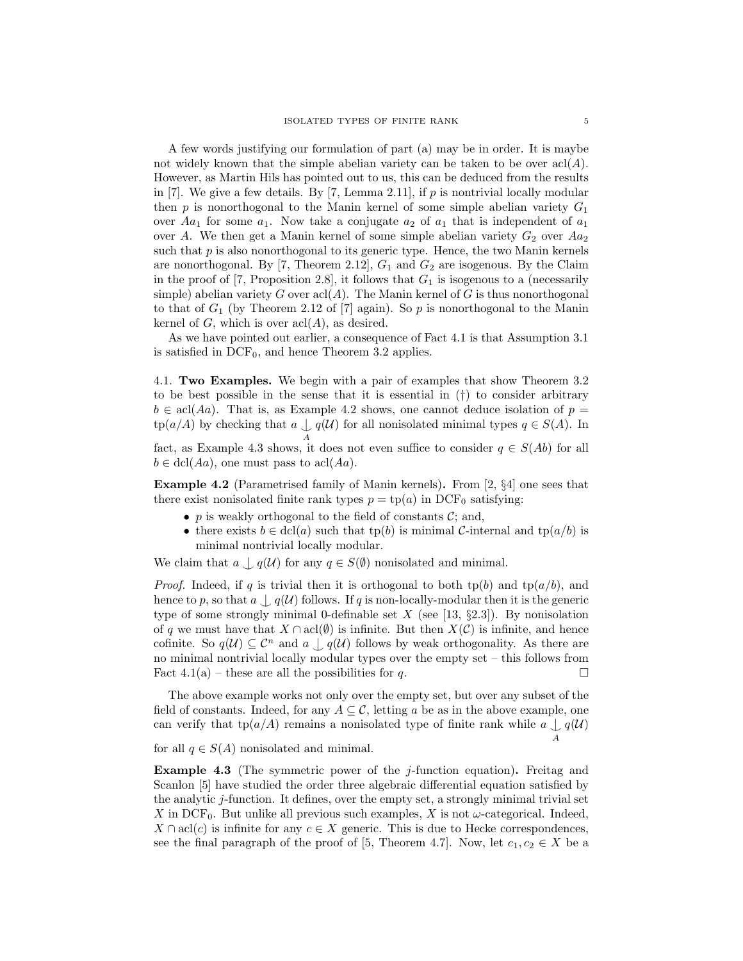A few words justifying our formulation of part (a) may be in order. It is maybe not widely known that the simple abelian variety can be taken to be over  $\text{acl}(A)$ . However, as Martin Hils has pointed out to us, this can be deduced from the results in  $[7]$ . We give a few details. By  $[7, \text{Lemma } 2.11]$ , if p is nontrivial locally modular then  $p$  is nonorthogonal to the Manin kernel of some simple abelian variety  $G_1$ over  $Aa_1$  for some  $a_1$ . Now take a conjugate  $a_2$  of  $a_1$  that is independent of  $a_1$ over A. We then get a Manin kernel of some simple abelian variety  $G_2$  over  $Aa_2$ such that  $p$  is also nonorthogonal to its generic type. Hence, the two Manin kernels are nonorthogonal. By [7, Theorem 2.12],  $G_1$  and  $G_2$  are isogenous. By the Claim in the proof of [7, Proposition 2.8], it follows that  $G_1$  is isogenous to a (necessarily simple) abelian variety G over  $\operatorname{acl}(A)$ . The Manin kernel of G is thus nonorthogonal to that of  $G_1$  (by Theorem 2.12 of [7] again). So p is nonorthogonal to the Manin kernel of  $G$ , which is over  $\operatorname{acl}(A)$ , as desired.

As we have pointed out earlier, a consequence of Fact 4.1 is that Assumption 3.1 is satisfied in  $DCF_0$ , and hence Theorem 3.2 applies.

4.1. Two Examples. We begin with a pair of examples that show Theorem 3.2 to be best possible in the sense that it is essential in  $(\dagger)$  to consider arbitrary  $b \in \text{acl}(Aa)$ . That is, as Example 4.2 shows, one cannot deduce isolation of  $p =$  $\text{tp}(a/A)$  by checking that  $a \downarrow q(\mathcal{U})$  for all nonisolated minimal types  $q \in S(A)$ . In fact, as Example 4.3 shows, it does not even suffice to consider  $q \in S(Ab)$  for all

 $b \in \text{dcl}(Aa)$ , one must pass to acl $(Aa)$ .

Example 4.2 (Parametrised family of Manin kernels). From [2, §4] one sees that there exist nonisolated finite rank types  $p = \text{tp}(a)$  in DCF<sub>0</sub> satisfying:

- p is weakly orthogonal to the field of constants  $\mathcal{C}$ ; and,
- there exists  $b \in \text{dcl}(a)$  such that tp(b) is minimal C-internal and tp( $a/b$ ) is minimal nontrivial locally modular.

We claim that  $a \mid q(\mathcal{U})$  for any  $q \in S(\emptyset)$  nonisolated and minimal.

*Proof.* Indeed, if q is trivial then it is orthogonal to both tp(b) and tp( $a/b$ ), and hence to p, so that  $a \int q(\mathcal{U})$  follows. If q is non-locally-modular then it is the generic type of some strongly minimal 0-definable set  $X$  (see [13, §2.3]). By nonisolation of q we must have that  $X \cap \text{acl}(\emptyset)$  is infinite. But then  $X(\mathcal{C})$  is infinite, and hence cofinite. So  $q(\mathcal{U}) \subseteq \mathcal{C}^n$  and  $a \bigcup q(\mathcal{U})$  follows by weak orthogonality. As there are no minimal nontrivial locally modular types over the empty set – this follows from Fact 4.1(a) – these are all the possibilities for q.  $\Box$ 

The above example works not only over the empty set, but over any subset of the field of constants. Indeed, for any  $A \subseteq \mathcal{C}$ , letting a be as in the above example, one can verify that  $tp(a/A)$  remains a nonisolated type of finite rank while  $a \nightharpoonup q(\mathcal{U})$ A

for all  $q \in S(A)$  nonisolated and minimal.

**Example 4.3** (The symmetric power of the *j*-function equation). Freitag and Scanlon [5] have studied the order three algebraic differential equation satisfied by the analytic j-function. It defines, over the empty set, a strongly minimal trivial set X in DCF<sub>0</sub>. But unlike all previous such examples, X is not  $\omega$ -categorical. Indeed,  $X \cap \text{acl}(c)$  is infinite for any  $c \in X$  generic. This is due to Hecke correspondences, see the final paragraph of the proof of [5, Theorem 4.7]. Now, let  $c_1, c_2 \in X$  be a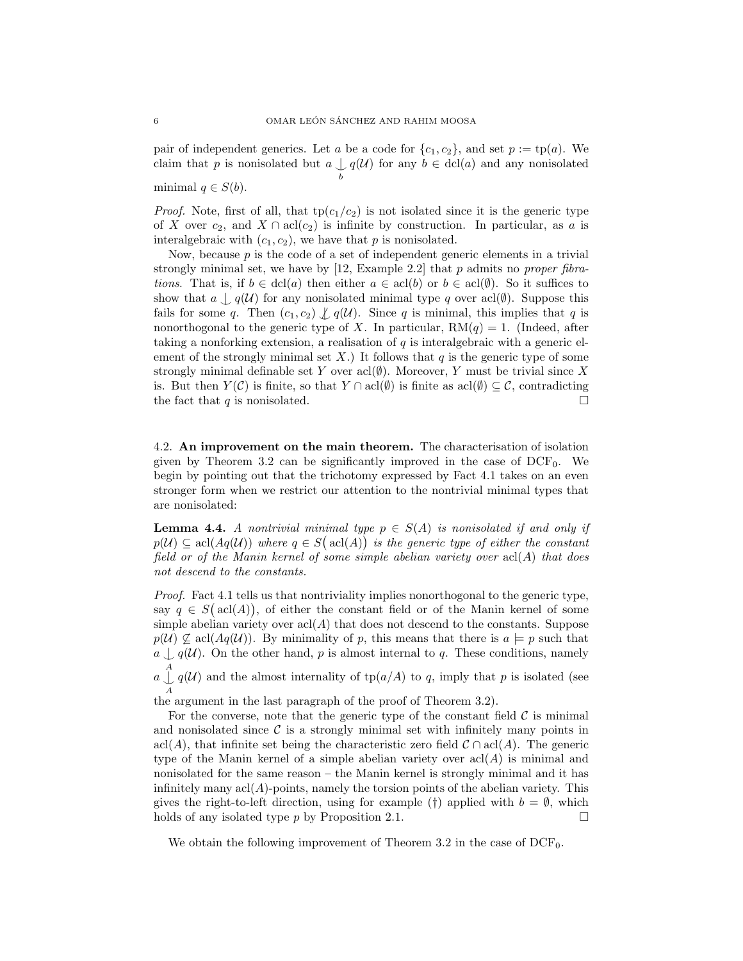pair of independent generics. Let a be a code for  ${c_1, c_2}$ , and set  $p := \text{tp}(a)$ . We claim that p is nonisolated but  $a \n\bigcup q(\mathcal{U})$  for any  $b \in \text{dcl}(a)$  and any nonisolated b minimal  $q \in S(b)$ .

*Proof.* Note, first of all, that  $tp(c_1/c_2)$  is not isolated since it is the generic type of X over  $c_2$ , and  $X \cap \text{acl}(c_2)$  is infinite by construction. In particular, as a is interalgebraic with  $(c_1, c_2)$ , we have that p is nonisolated.

Now, because  $p$  is the code of a set of independent generic elements in a trivial strongly minimal set, we have by  $[12, Example 2.2]$  that p admits no proper fibrations. That is, if  $b \in \text{dcl}(a)$  then either  $a \in \text{acl}(b)$  or  $b \in \text{acl}(\emptyset)$ . So it suffices to show that  $a \bigcup q(\mathcal{U})$  for any nonisolated minimal type q over acl(∅). Suppose this fails for some q. Then  $(c_1, c_2) \nmid q(\mathcal{U})$ . Since q is minimal, this implies that q is nonorthogonal to the generic type of X. In particular,  $RM(q) = 1$ . (Indeed, after taking a nonforking extension, a realisation of q is interalgebraic with a generic element of the strongly minimal set X.) It follows that  $q$  is the generic type of some strongly minimal definable set Y over acl $(\emptyset)$ . Moreover, Y must be trivial since X is. But then  $Y(\mathcal{C})$  is finite, so that  $Y \cap \text{acl}(\emptyset)$  is finite as  $\text{acl}(\emptyset) \subseteq \mathcal{C}$ , contradicting the fact that q is nonisolated.  $\square$ 

4.2. An improvement on the main theorem. The characterisation of isolation given by Theorem 3.2 can be significantly improved in the case of  $DCF_0$ . We begin by pointing out that the trichotomy expressed by Fact 4.1 takes on an even stronger form when we restrict our attention to the nontrivial minimal types that are nonisolated:

**Lemma 4.4.** A nontrivial minimal type  $p \in S(A)$  is nonisolated if and only if  $p(\mathcal{U}) \subseteq \text{acl}(Aq(\mathcal{U}))$  where  $q \in S(\text{acl}(A))$  is the generic type of either the constant field or of the Manin kernel of some simple abelian variety over  $\operatorname{acl}(A)$  that does not descend to the constants.

Proof. Fact 4.1 tells us that nontriviality implies nonorthogonal to the generic type, say  $q \in S(\text{acl}(A)),$  of either the constant field or of the Manin kernel of some simple abelian variety over  $\operatorname{acl}(A)$  that does not descend to the constants. Suppose  $p(\mathcal{U}) \nsubseteq \text{acl}(Aq(\mathcal{U}))$ . By minimality of p, this means that there is  $a \models p$  such that  $a \n\t\downarrow q(\mathcal{U})$ . On the other hand, p is almost internal to q. These conditions, namely

 $a \stackrel{A}{\downarrow} q(\mathcal{U})$  and the almost internality of tp( $a/A$ ) to q, imply that p is isolated (see A

the argument in the last paragraph of the proof of Theorem 3.2).

For the converse, note that the generic type of the constant field  $\mathcal C$  is minimal and nonisolated since  $\mathcal C$  is a strongly minimal set with infinitely many points in acl(A), that infinite set being the characteristic zero field  $\mathcal{C} \cap \text{acl}(A)$ . The generic type of the Manin kernel of a simple abelian variety over  $\operatorname{acl}(A)$  is minimal and nonisolated for the same reason – the Manin kernel is strongly minimal and it has infinitely many  $\text{acl}(A)$ -points, namely the torsion points of the abelian variety. This gives the right-to-left direction, using for example (†) applied with  $b = \emptyset$ , which holds of any isolated type p by Proposition 2.1.  $\Box$ 

We obtain the following improvement of Theorem 3.2 in the case of  $DCF_0$ .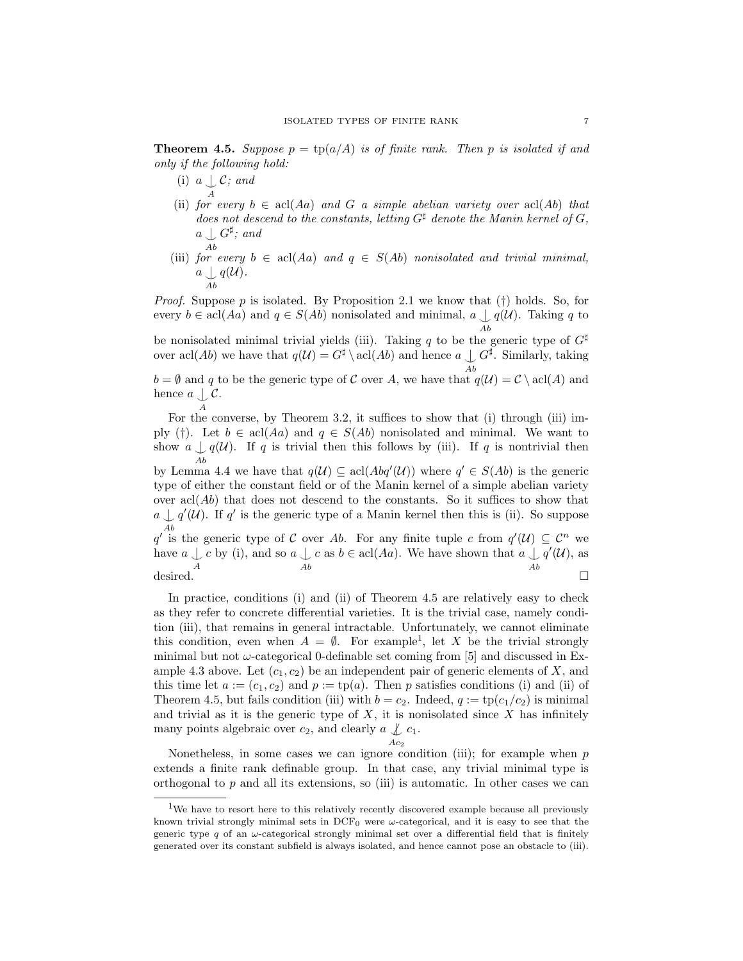**Theorem 4.5.** Suppose  $p = \text{tp}(a/A)$  is of finite rank. Then p is isolated if and only if the following hold:

(i)  $a \downarrow$  $\mathcal{C}$ ; and

Ab

- (ii) for every  $b \in \text{acl}(Aa)$  and G a simple abelian variety over  $\text{acl}(Ab)$  that does not descend to the constants, letting  $G^{\sharp}$  denote the Manin kernel of G,  $a\mathrel{\dot{\cup}} G^\sharp;$  and
- (iii) for every  $b \in \text{acl}(Aa)$  and  $q \in S(Ab)$  nonisolated and trivial minimal,  $a \bigcup q(\mathcal{U}).$

*Proof.* Suppose p is isolated. By Proposition 2.1 we know that  $(†)$  holds. So, for every  $b \in \text{acl}(Aa)$  and  $q \in S(Ab)$  nonisolated and minimal,  $a \downarrow q(\mathcal{U})$ . Taking q to Ab

be nonisolated minimal trivial yields (iii). Taking q to be the generic type of  $G^{\sharp}$ over acl(Ab) we have that  $q(\mathcal{U}) = G^{\sharp} \setminus \text{acl}(Ab)$  and hence  $a \bigcup G^{\sharp}$ . Similarly, taking Ab  $b = \emptyset$  and q to be the generic type of C over A, we have that  $q(\mathcal{U}) = C \setminus \text{acl}(A)$  and

hence  $a \nightharpoondown c$ .

A For the converse, by Theorem 3.2, it suffices to show that (i) through (iii) imply (†). Let  $b \in \text{acl}(Aa)$  and  $q \in S(Ab)$  nonisolated and minimal. We want to show  $a \nightharpoonup q(\mathcal{U})$ . If q is trivial then this follows by (iii). If q is nontrivial then Ab by Lemma 4.4 we have that  $q(\mathcal{U}) \subseteq \text{acl}(Abq'(\mathcal{U}))$  where  $q' \in S(Ab)$  is the generic type of either the constant field or of the Manin kernel of a simple abelian variety over  $\operatorname{acl}(Ab)$  that does not descend to the constants. So it suffices to show that  $a \int q'(\mathcal{U})$ . If q' is the generic type of a Manin kernel then this is (ii). So suppose  $q'$  is the generic type of C over Ab. For any finite tuple c from  $q'(\mathcal{U}) \subseteq \mathcal{C}^n$  we have  $a \nightharpoonup_c c$  by (i), and so  $a \nightharpoonup_c c$  as  $b \in \text{acl}(Aa)$ . We have shown that  $a \nightharpoonup_c A$  $q'(\mathcal{U})$ , as desired.  $\Box$ 

In practice, conditions (i) and (ii) of Theorem 4.5 are relatively easy to check as they refer to concrete differential varieties. It is the trivial case, namely condition (iii), that remains in general intractable. Unfortunately, we cannot eliminate this condition, even when  $A = \emptyset$ . For example<sup>1</sup>, let X be the trivial strongly minimal but not  $\omega$ -categorical 0-definable set coming from [5] and discussed in Example 4.3 above. Let  $(c_1, c_2)$  be an independent pair of generic elements of X, and this time let  $a := (c_1, c_2)$  and  $p := \text{tp}(a)$ . Then p satisfies conditions (i) and (ii) of Theorem 4.5, but fails condition (iii) with  $b = c_2$ . Indeed,  $q := \text{tp}(c_1/c_2)$  is minimal and trivial as it is the generic type of  $X$ , it is nonisolated since  $X$  has infinitely many points algebraic over  $c_2$ , and clearly  $a \nvert c_1$ .

Nonetheless, in some cases we can ignore condition (iii); for example when  $p$ extends a finite rank definable group. In that case, any trivial minimal type is orthogonal to  $p$  and all its extensions, so (iii) is automatic. In other cases we can

 $Ac<sub>2</sub>$ 

<sup>&</sup>lt;sup>1</sup>We have to resort here to this relatively recently discovered example because all previously known trivial strongly minimal sets in  $DCF_0$  were  $\omega$ -categorical, and it is easy to see that the generic type q of an  $\omega$ -categorical strongly minimal set over a differential field that is finitely generated over its constant subfield is always isolated, and hence cannot pose an obstacle to (iii).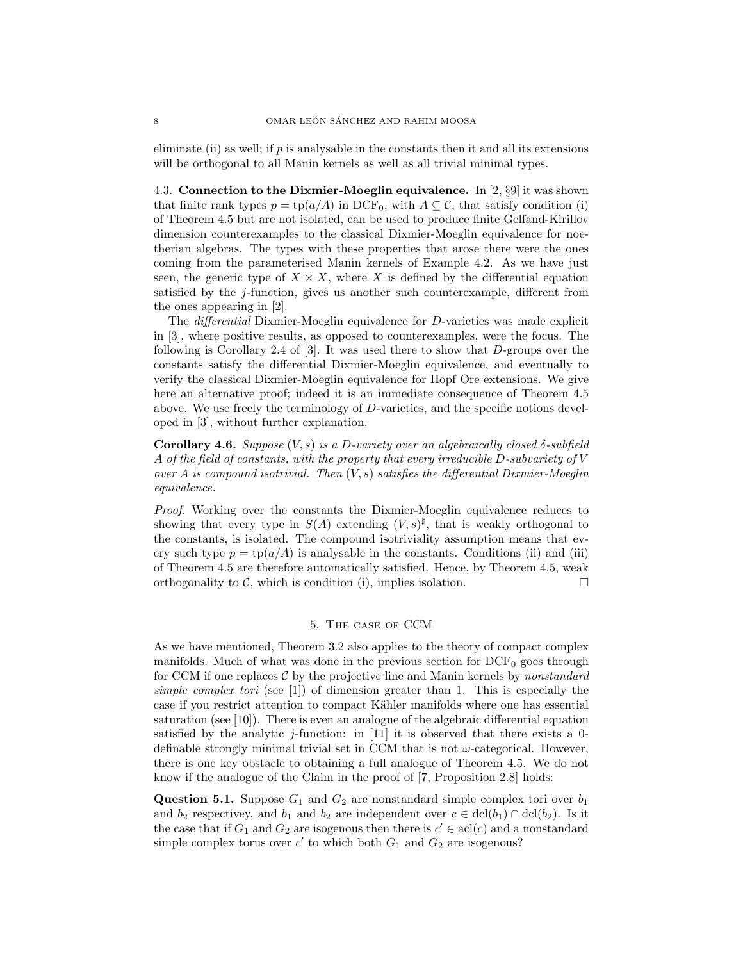eliminate (ii) as well; if  $p$  is analysable in the constants then it and all its extensions will be orthogonal to all Manin kernels as well as all trivial minimal types.

4.3. Connection to the Dixmier-Moeglin equivalence. In  $[2, \S 9]$  it was shown that finite rank types  $p = \text{tp}(a/A)$  in DCF<sub>0</sub>, with  $A \subseteq \mathcal{C}$ , that satisfy condition (i) of Theorem 4.5 but are not isolated, can be used to produce finite Gelfand-Kirillov dimension counterexamples to the classical Dixmier-Moeglin equivalence for noetherian algebras. The types with these properties that arose there were the ones coming from the parameterised Manin kernels of Example 4.2. As we have just seen, the generic type of  $X \times X$ , where X is defined by the differential equation satisfied by the  $j$ -function, gives us another such counterexample, different from the ones appearing in [2].

The differential Dixmier-Moeglin equivalence for D-varieties was made explicit in [3], where positive results, as opposed to counterexamples, were the focus. The following is Corollary 2.4 of [3]. It was used there to show that D-groups over the constants satisfy the differential Dixmier-Moeglin equivalence, and eventually to verify the classical Dixmier-Moeglin equivalence for Hopf Ore extensions. We give here an alternative proof; indeed it is an immediate consequence of Theorem 4.5 above. We use freely the terminology of D-varieties, and the specific notions developed in [3], without further explanation.

**Corollary 4.6.** Suppose  $(V, s)$  is a D-variety over an algebraically closed  $\delta$ -subfield A of the field of constants, with the property that every irreducible  $D$ -subvariety of  $V$ over A is compound isotrivial. Then  $(V, s)$  satisfies the differential Dixmier-Moeglin equivalence.

Proof. Working over the constants the Dixmier-Moeglin equivalence reduces to showing that every type in  $S(A)$  extending  $(V, s)^\sharp$ , that is weakly orthogonal to the constants, is isolated. The compound isotriviality assumption means that every such type  $p = \text{tp}(a/A)$  is analysable in the constants. Conditions (ii) and (iii) of Theorem 4.5 are therefore automatically satisfied. Hence, by Theorem 4.5, weak orthogonality to  $\mathcal{C}$ , which is condition (i), implies isolation.

## 5. The case of CCM

As we have mentioned, Theorem 3.2 also applies to the theory of compact complex manifolds. Much of what was done in the previous section for  $DCF_0$  goes through for CCM if one replaces  $C$  by the projective line and Manin kernels by *nonstandard* simple complex tori (see [1]) of dimension greater than 1. This is especially the case if you restrict attention to compact Kähler manifolds where one has essential saturation (see [10]). There is even an analogue of the algebraic differential equation satisfied by the analytic j-function: in  $[11]$  it is observed that there exists a 0definable strongly minimal trivial set in CCM that is not  $\omega$ -categorical. However, there is one key obstacle to obtaining a full analogue of Theorem 4.5. We do not know if the analogue of the Claim in the proof of [7, Proposition 2.8] holds:

**Question 5.1.** Suppose  $G_1$  and  $G_2$  are nonstandard simple complex tori over  $b_1$ and  $b_2$  respectivey, and  $b_1$  and  $b_2$  are independent over  $c \in \text{dcl}(b_1) \cap \text{dcl}(b_2)$ . Is it the case that if  $G_1$  and  $G_2$  are isogenous then there is  $c' \in \text{acl}(c)$  and a nonstandard simple complex torus over  $c'$  to which both  $G_1$  and  $G_2$  are isogenous?